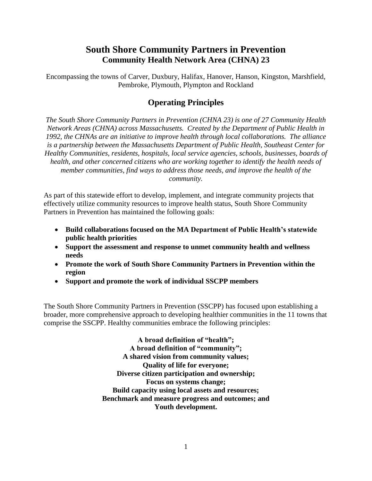# **South Shore Community Partners in Prevention Community Health Network Area (CHNA) 23**

Encompassing the towns of Carver, Duxbury, Halifax, Hanover, Hanson, Kingston, Marshfield, Pembroke, Plymouth, Plympton and Rockland

### **Operating Principles**

*The South Shore Community Partners in Prevention (CHNA 23) is one of 27 Community Health Network Areas (CHNA) across Massachusetts. Created by the Department of Public Health in 1992, the CHNAs are an initiative to improve health through local collaborations. The alliance is a partnership between the Massachusetts Department of Public Health, Southeast Center for Healthy Communities, residents, hospitals, local service agencies, schools, businesses, boards of health, and other concerned citizens who are working together to identify the health needs of member communities, find ways to address those needs, and improve the health of the community.*

As part of this statewide effort to develop, implement, and integrate community projects that effectively utilize community resources to improve health status, South Shore Community Partners in Prevention has maintained the following goals:

- **Build collaborations focused on the MA Department of Public Health's statewide public health priorities**
- **Support the assessment and response to unmet community health and wellness needs**
- **Promote the work of South Shore Community Partners in Prevention within the region**
- **Support and promote the work of individual SSCPP members**

The South Shore Community Partners in Prevention (SSCPP) has focused upon establishing a broader, more comprehensive approach to developing healthier communities in the 11 towns that comprise the SSCPP. Healthy communities embrace the following principles:

> **A broad definition of "health"; A broad definition of "community"; A shared vision from community values; Quality of life for everyone; Diverse citizen participation and ownership; Focus on systems change; Build capacity using local assets and resources; Benchmark and measure progress and outcomes; and Youth development.**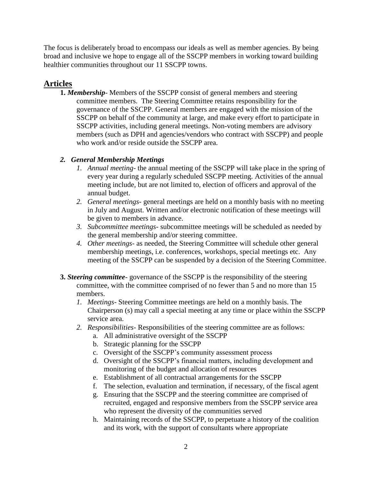The focus is deliberately broad to encompass our ideals as well as member agencies. By being broad and inclusive we hope to engage all of the SSCPP members in working toward building healthier communities throughout our 11 SSCPP towns.

## **Articles**

**1.** *Membership*- Members of the SSCPP consist of general members and steering committee members. The Steering Committee retains responsibility for the governance of the SSCPP. General members are engaged with the mission of the SSCPP on behalf of the community at large, and make every effort to participate in SSCPP activities, including general meetings. Non-voting members are advisory members (such as DPH and agencies/vendors who contract with SSCPP) and people who work and/or reside outside the SSCPP area.

### *2. General Membership Meetings*

- *1. Annual meeting* the annual meeting of the SSCPP will take place in the spring of every year during a regularly scheduled SSCPP meeting. Activities of the annual meeting include, but are not limited to, election of officers and approval of the annual budget.
- *2. General meetings* general meetings are held on a monthly basis with no meeting in July and August. Written and/or electronic notification of these meetings will be given to members in advance.
- *3. Subcommittee meetings-* subcommittee meetings will be scheduled as needed by the general membership and/or steering committee.
- *4. Other meetings-* as needed, the Steering Committee will schedule other general membership meetings, i.e. conferences, workshops, special meetings etc. Any meeting of the SSCPP can be suspended by a decision of the Steering Committee.
- **3.** *Steering committee* governance of the SSCPP is the responsibility of the steering committee, with the committee comprised of no fewer than 5 and no more than 15 members.
	- *1. Meetings-* Steering Committee meetings are held on a monthly basis. The Chairperson (s) may call a special meeting at any time or place within the SSCPP service area.
	- *2. Responsibilities-* Responsibilities of the steering committee are as follows:
		- a. All administrative oversight of the SSCPP
		- b. Strategic planning for the SSCPP
		- c. Oversight of the SSCPP's community assessment process
		- d. Oversight of the SSCPP's financial matters, including development and monitoring of the budget and allocation of resources
		- e. Establishment of all contractual arrangements for the SSCPP
		- f. The selection, evaluation and termination, if necessary, of the fiscal agent
		- g. Ensuring that the SSCPP and the steering committee are comprised of recruited, engaged and responsive members from the SSCPP service area who represent the diversity of the communities served
		- h. Maintaining records of the SSCPP, to perpetuate a history of the coalition and its work, with the support of consultants where appropriate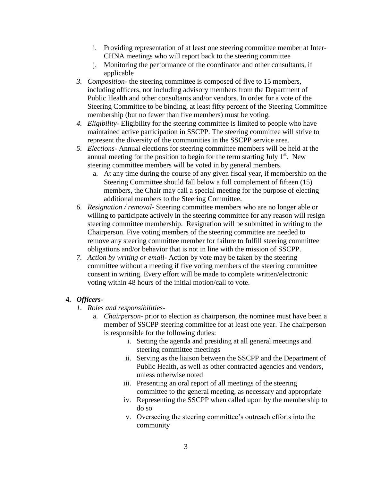- i. Providing representation of at least one steering committee member at Inter-CHNA meetings who will report back to the steering committee
- j. Monitoring the performance of the coordinator and other consultants, if applicable
- *3. Composition* the steering committee is composed of five to 15 members, including officers, not including advisory members from the Department of Public Health and other consultants and/or vendors. In order for a vote of the Steering Committee to be binding, at least fifty percent of the Steering Committee membership (but no fewer than five members) must be voting.
- *4. Eligibility* Eligibility for the steering committee is limited to people who have maintained active participation in SSCPP. The steering committee will strive to represent the diversity of the communities in the SSCPP service area.
- *5. Elections* Annual elections for steering committee members will be held at the annual meeting for the position to begin for the term starting July  $1<sup>st</sup>$ . New steering committee members will be voted in by general members.
	- a. At any time during the course of any given fiscal year, if membership on the Steering Committee should fall below a full complement of fifteen (15) members, the Chair may call a special meeting for the purpose of electing additional members to the Steering Committee.
- *6. Resignation / removal* Steering committee members who are no longer able or willing to participate actively in the steering committee for any reason will resign steering committee membership. Resignation will be submitted in writing to the Chairperson. Five voting members of the steering committee are needed to remove any steering committee member for failure to fulfill steering committee obligations and/or behavior that is not in line with the mission of SSCPP.
- *7. Action by writing or email* Action by vote may be taken by the steering committee without a meeting if five voting members of the steering committee consent in writing. Every effort will be made to complete written/electronic voting within 48 hours of the initial motion/call to vote.

#### **4.** *Officers*-

- *1. Roles and responsibilities*
	- a. *Chairperson* prior to election as chairperson, the nominee must have been a member of SSCPP steering committee for at least one year. The chairperson is responsible for the following duties:
		- i. Setting the agenda and presiding at all general meetings and steering committee meetings
		- ii. Serving as the liaison between the SSCPP and the Department of Public Health, as well as other contracted agencies and vendors, unless otherwise noted
		- iii. Presenting an oral report of all meetings of the steering committee to the general meeting, as necessary and appropriate
		- iv. Representing the SSCPP when called upon by the membership to do so
		- v. Overseeing the steering committee's outreach efforts into the community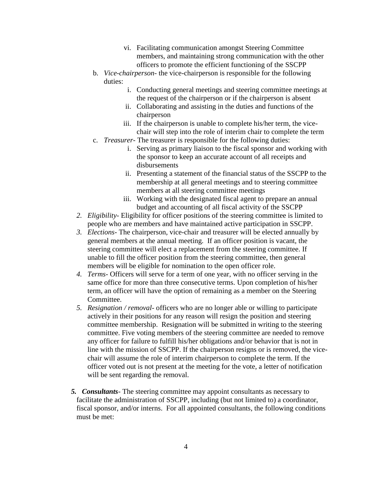- vi. Facilitating communication amongst Steering Committee members, and maintaining strong communication with the other officers to promote the efficient functioning of the SSCPP
- b. *Vice-chairperson* the vice-chairperson is responsible for the following duties:
	- i. Conducting general meetings and steering committee meetings at the request of the chairperson or if the chairperson is absent
	- ii. Collaborating and assisting in the duties and functions of the chairperson
	- iii. If the chairperson is unable to complete his/her term, the vicechair will step into the role of interim chair to complete the term
- c. *Treasurer* The treasurer is responsible for the following duties:
	- i. Serving as primary liaison to the fiscal sponsor and working with the sponsor to keep an accurate account of all receipts and disbursements
	- ii. Presenting a statement of the financial status of the SSCPP to the membership at all general meetings and to steering committee members at all steering committee meetings
	- iii. Working with the designated fiscal agent to prepare an annual budget and accounting of all fiscal activity of the SSCPP
- *2. Eligibility* Eligibility for officer positions of the steering committee is limited to people who are members and have maintained active participation in SSCPP.
- *3. Elections* The chairperson, vice-chair and treasurer will be elected annually by general members at the annual meeting. If an officer position is vacant, the steering committee will elect a replacement from the steering committee. If unable to fill the officer position from the steering committee, then general members will be eligible for nomination to the open officer role.
- *4. Terms* Officers will serve for a term of one year, with no officer serving in the same office for more than three consecutive terms. Upon completion of his/her term, an officer will have the option of remaining as a member on the Steering Committee.
- *5. Resignation / removal* officers who are no longer able or willing to participate actively in their positions for any reason will resign the position and steering committee membership. Resignation will be submitted in writing to the steering committee. Five voting members of the steering committee are needed to remove any officer for failure to fulfill his/her obligations and/or behavior that is not in line with the mission of SSCPP. If the chairperson resigns or is removed, the vicechair will assume the role of interim chairperson to complete the term. If the officer voted out is not present at the meeting for the vote, a letter of notification will be sent regarding the removal.
- *5. Consultants* The steering committee may appoint consultants as necessary to facilitate the administration of SSCPP, including (but not limited to) a coordinator, fiscal sponsor, and/or interns. For all appointed consultants, the following conditions must be met: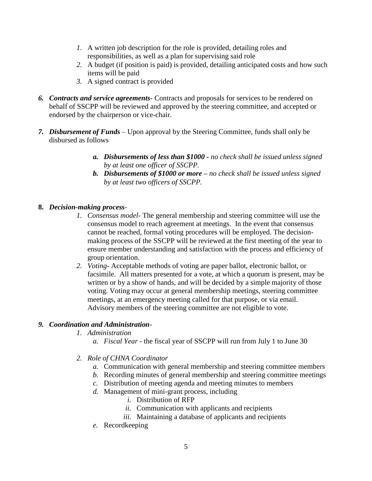- *1.* A written job description for the role is provided, detailing roles and responsibilities, as well as a plan for supervising said role
- *2.* A budget (if position is paid) is provided, detailing anticipated costs and how such items will be paid
- *3.* A signed contract is provided
- *6. Contracts and service agreements* Contracts and proposals for services to be rendered on behalf of SSCPP will be reviewed and approved by the steering committee, and accepted or endorsed by the chairperson or vice-chair.
- *7. Disbursement of Funds –* Upon approval by the Steering Committee, funds shall only be disbursed as follows
	- *a. Disbursements of less than \$1000 - no check shall be issued unless signed by at least one officer of SSCPP.*
	- *b. Disbursements of \$1000 or more – no check shall be issued unless signed by at least two officers of SSCPP.*
- **8.** *Decision-making process*-
	- *1. Consensus model* The general membership and steering committee will use the consensus model to reach agreement at meetings. In the event that consensus cannot be reached, formal voting procedures will be employed. The decisionmaking process of the SSCPP will be reviewed at the first meeting of the year to ensure member understanding and satisfaction with the process and efficiency of group orientation.
	- *2. Voting* Acceptable methods of voting are paper ballot, electronic ballot, or facsimile. All matters presented for a vote, at which a quorum is present, may be written or by a show of hands, and will be decided by a simple majority of those voting. Voting may occur at general membership meetings, steering committee meetings, at an emergency meeting called for that purpose, or via email. Advisory members of the steering committee are not eligible to vote.

### *9. Coordination and Administration*-

- *1. Administration*
	- *a. Fiscal Year -* the fiscal year of SSCPP will run from July 1 to June 30
- *2. Role of CHNA Coordinator*
	- *a.* Communication with general membership and steering committee members
	- *b.* Recording minutes of general membership and steering committee meetings
	- *c.* Distribution of meeting agenda and meeting minutes to members
	- *d.* Management of mini-grant process, including
		- *i.* Distribution of RFP
		- *ii.* Communication with applicants and recipients
		- *iii.* Maintaining a database of applicants and recipients
	- *e.* Recordkeeping